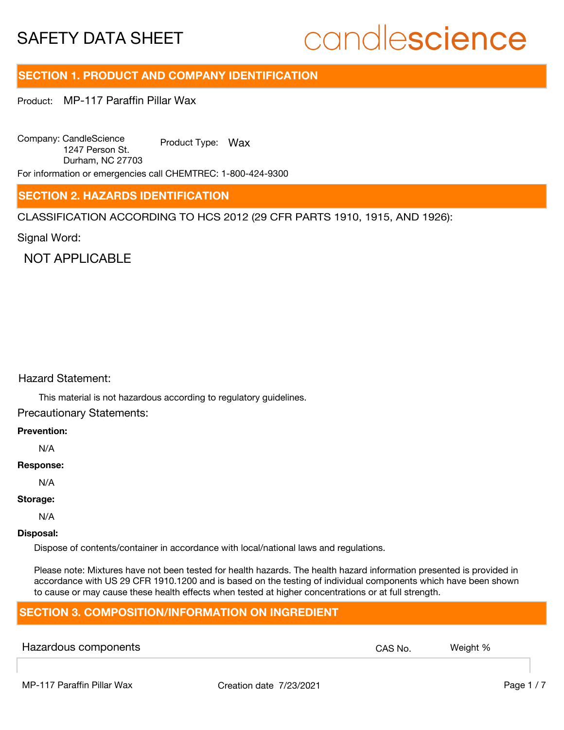# candlescience

# **SECTION 1. PRODUCT AND COMPANY IDENTIFICATION**

Product: MP-117 Paraffin Pillar Wax

Company: CandleScience 1247 Person St. Durham, NC 27703 Product Type: Wax

For information or emergencies call CHEMTREC: 1-800-424-9300

### **SECTION 2. HAZARDS IDENTIFICATION**

CLASSIFICATION ACCORDING TO HCS 2012 (29 CFR PARTS 1910, 1915, AND 1926):

Signal Word:

NOT APPI ICABLE

#### Hazard Statement:

This material is not hazardous according to regulatory guidelines.

Precautionary Statements:

#### **Prevention:**

N/A

#### **Response:**

N/A

#### **Storage:**

N/A

#### **Disposal:**

Dispose of contents/container in accordance with local/national laws and regulations.

Please note: Mixtures have not been tested for health hazards. The health hazard information presented is provided in accordance with US 29 CFR 1910.1200 and is based on the testing of individual components which have been shown to cause or may cause these health effects when tested at higher concentrations or at full strength.

# **SECTION 3. COMPOSITION/INFORMATION ON INGREDIENT**

| Hazardous components | CAS No. | Weight % |
|----------------------|---------|----------|
|                      |         |          |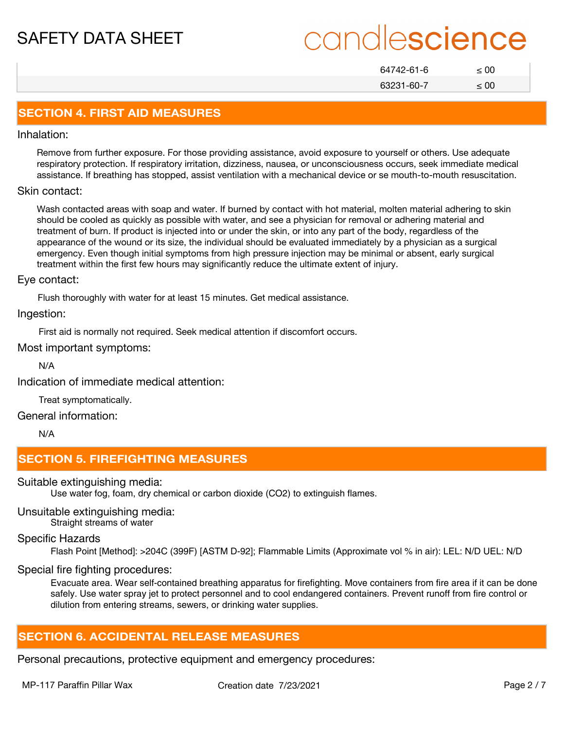# candlescience

| 64742-61-6 | < 00      |
|------------|-----------|
| 63231-60-7 | $\leq 00$ |

## **SECTION 4. FIRST AID MEASURES**

#### Inhalation:

Remove from further exposure. For those providing assistance, avoid exposure to yourself or others. Use adequate respiratory protection. If respiratory irritation, dizziness, nausea, or unconsciousness occurs, seek immediate medical assistance. If breathing has stopped, assist ventilation with a mechanical device or se mouth-to-mouth resuscitation.

#### Skin contact:

Wash contacted areas with soap and water. If burned by contact with hot material, molten material adhering to skin should be cooled as quickly as possible with water, and see a physician for removal or adhering material and treatment of burn. If product is injected into or under the skin, or into any part of the body, regardless of the appearance of the wound or its size, the individual should be evaluated immediately by a physician as a surgical emergency. Even though initial symptoms from high pressure injection may be minimal or absent, early surgical treatment within the first few hours may significantly reduce the ultimate extent of injury.

#### Eye contact:

Flush thoroughly with water for at least 15 minutes. Get medical assistance.

Ingestion:

First aid is normally not required. Seek medical attention if discomfort occurs.

#### Most important symptoms:

N/A

Indication of immediate medical attention:

Treat symptomatically.

General information:

N/A

# **SECTION 5. FIREFIGHTING MEASURES**

Suitable extinguishing media:

Use water fog, foam, dry chemical or carbon dioxide (CO2) to extinguish flames.

#### Unsuitable extinguishing media:

Straight streams of water

# Specific Hazards

Flash Point [Method]: >204C (399F) [ASTM D-92]; Flammable Limits (Approximate vol % in air): LEL: N/D UEL: N/D

# Special fire fighting procedures:

Evacuate area. Wear self-contained breathing apparatus for firefighting. Move containers from fire area if it can be done safely. Use water spray jet to protect personnel and to cool endangered containers. Prevent runoff from fire control or dilution from entering streams, sewers, or drinking water supplies.

# **SECTION 6. ACCIDENTAL RELEASE MEASURES**

Personal precautions, protective equipment and emergency procedures: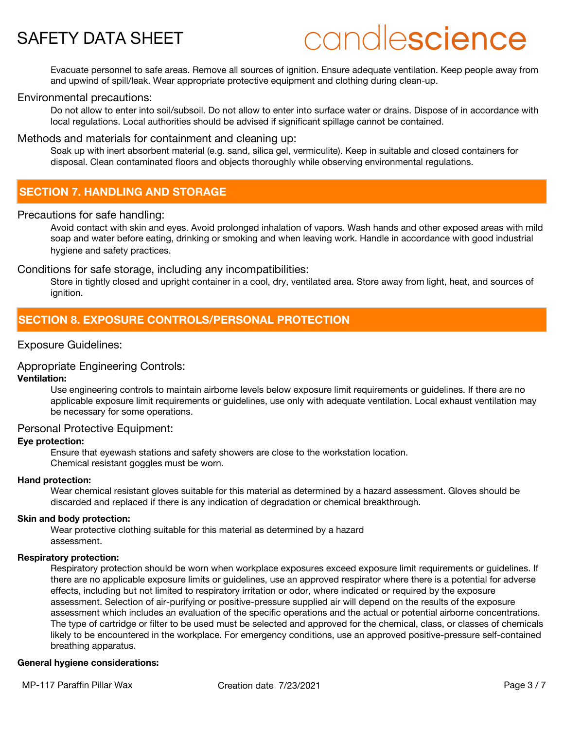# candlescience

Evacuate personnel to safe areas. Remove all sources of ignition. Ensure adequate ventilation. Keep people away from and upwind of spill/leak. Wear appropriate protective equipment and clothing during clean-up.

#### Environmental precautions:

Do not allow to enter into soil/subsoil. Do not allow to enter into surface water or drains. Dispose of in accordance with local regulations. Local authorities should be advised if significant spillage cannot be contained.

#### Methods and materials for containment and cleaning up:

Soak up with inert absorbent material (e.g. sand, silica gel, vermiculite). Keep in suitable and closed containers for disposal. Clean contaminated floors and objects thoroughly while observing environmental regulations.

## **SECTION 7. HANDLING AND STORAGE**

#### Precautions for safe handling:

Avoid contact with skin and eyes. Avoid prolonged inhalation of vapors. Wash hands and other exposed areas with mild soap and water before eating, drinking or smoking and when leaving work. Handle in accordance with good industrial hygiene and safety practices.

Conditions for safe storage, including any incompatibilities:

Store in tightly closed and upright container in a cool, dry, ventilated area. Store away from light, heat, and sources of ignition.

# **SECTION 8. EXPOSURE CONTROLS/PERSONAL PROTECTION**

#### Exposure Guidelines:

#### Appropriate Engineering Controls:

#### **Ventilation:**

Use engineering controls to maintain airborne levels below exposure limit requirements or guidelines. If there are no applicable exposure limit requirements or guidelines, use only with adequate ventilation. Local exhaust ventilation may be necessary for some operations.

#### Personal Protective Equipment:

#### **Eye protection:**

Ensure that eyewash stations and safety showers are close to the workstation location. Chemical resistant goggles must be worn.

#### **Hand protection:**

Wear chemical resistant gloves suitable for this material as determined by a hazard assessment. Gloves should be discarded and replaced if there is any indication of degradation or chemical breakthrough.

#### **Skin and body protection:**

Wear protective clothing suitable for this material as determined by a hazard assessment.

#### **Respiratory protection:**

Respiratory protection should be worn when workplace exposures exceed exposure limit requirements or guidelines. If there are no applicable exposure limits or guidelines, use an approved respirator where there is a potential for adverse effects, including but not limited to respiratory irritation or odor, where indicated or required by the exposure assessment. Selection of air-purifying or positive-pressure supplied air will depend on the results of the exposure assessment which includes an evaluation of the specific operations and the actual or potential airborne concentrations. The type of cartridge or filter to be used must be selected and approved for the chemical, class, or classes of chemicals likely to be encountered in the workplace. For emergency conditions, use an approved positive-pressure self-contained breathing apparatus.

#### **General hygiene considerations:**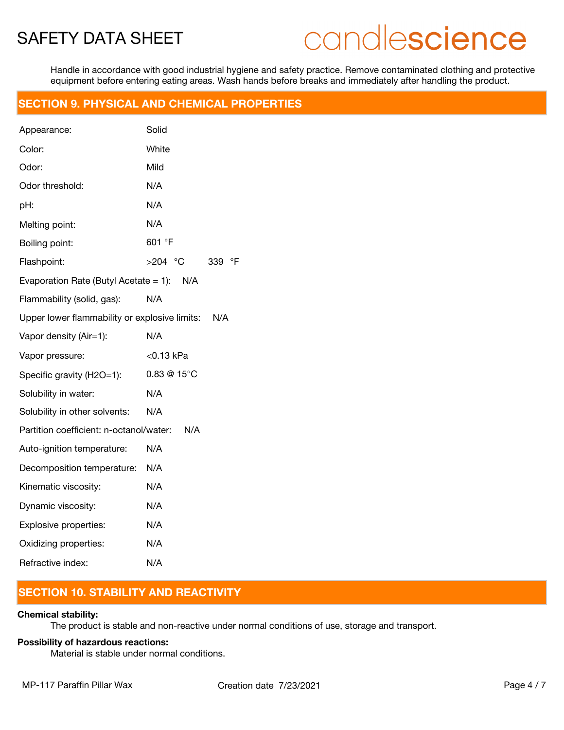# candlescience

Handle in accordance with good industrial hygiene and safety practice. Remove contaminated clothing and protective equipment before entering eating areas. Wash hands before breaks and immediately after handling the product.

## **SECTION 9. PHYSICAL AND CHEMICAL PROPERTIES**

| Appearance:                                   | Solid                            |
|-----------------------------------------------|----------------------------------|
| Color:                                        | White                            |
| Odor:                                         | Mild                             |
| Odor threshold:                               | N/A                              |
| pH:                                           | N/A                              |
| Melting point:                                | N/A                              |
| Boiling point:                                | 601 °F                           |
| Flashpoint:                                   | $\overline{P}$<br>>204 °C<br>339 |
| Evaporation Rate (Butyl Acetate = 1): $N/A$   |                                  |
| Flammability (solid, gas):                    | N/A                              |
| Upper lower flammability or explosive limits: | N/A                              |
| Vapor density (Air=1):                        | N/A                              |
| Vapor pressure:                               | <0.13 kPa                        |
| Specific gravity (H2O=1):                     | 0.83 @ 15°C                      |
| Solubility in water:                          | N/A                              |
| Solubility in other solvents:                 | N/A                              |
| Partition coefficient: n-octanol/water:       | N/A                              |
| Auto-ignition temperature:                    | N/A                              |
| Decomposition temperature:                    | N/A                              |
| Kinematic viscosity:                          | N/A                              |
| Dynamic viscosity:                            | N/A                              |
| Explosive properties:                         | N/A                              |
| Oxidizing properties:                         | N/A                              |
| Refractive index:                             | N/A                              |

# **SECTION 10. STABILITY AND REACTIVITY**

#### **Chemical stability:**

The product is stable and non-reactive under normal conditions of use, storage and transport.

#### **Possibility of hazardous reactions:**

Material is stable under normal conditions.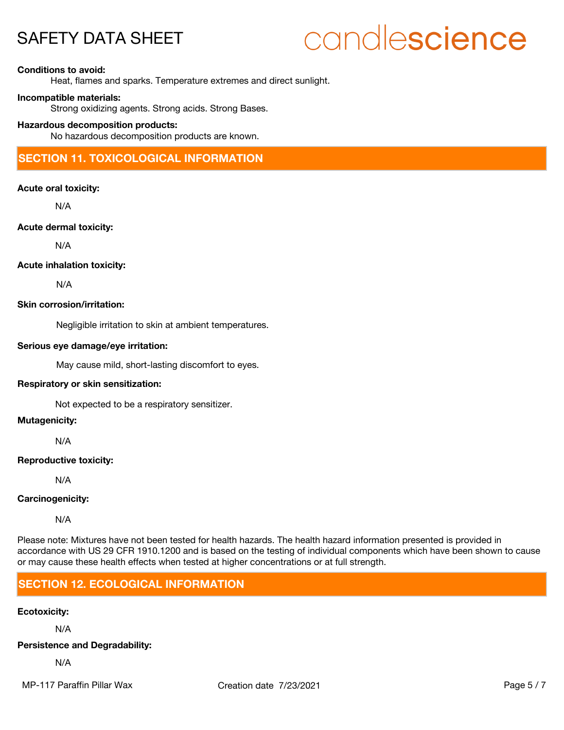# candlescience

#### **Conditions to avoid:**

Heat, flames and sparks. Temperature extremes and direct sunlight.

#### **Incompatible materials:**

Strong oxidizing agents. Strong acids. Strong Bases.

#### **Hazardous decomposition products:**

No hazardous decomposition products are known.

# **SECTION 11. TOXICOLOGICAL INFORMATION**

#### **Acute oral toxicity:**

N/A

#### **Acute dermal toxicity:**

N/A

#### **Acute inhalation toxicity:**

N/A

#### **Skin corrosion/irritation:**

Negligible irritation to skin at ambient temperatures.

#### **Serious eye damage/eye irritation:**

May cause mild, short-lasting discomfort to eyes.

#### **Respiratory or skin sensitization:**

Not expected to be a respiratory sensitizer.

#### **Mutagenicity:**

N/A

#### **Reproductive toxicity:**

N/A

#### **Carcinogenicity:**

N/A

Please note: Mixtures have not been tested for health hazards. The health hazard information presented is provided in accordance with US 29 CFR 1910.1200 and is based on the testing of individual components which have been shown to cause or may cause these health effects when tested at higher concentrations or at full strength.

# **SECTION 12. ECOLOGICAL INFORMATION**

### **Ecotoxicity:**

N/A

#### **Persistence and Degradability:**

N/A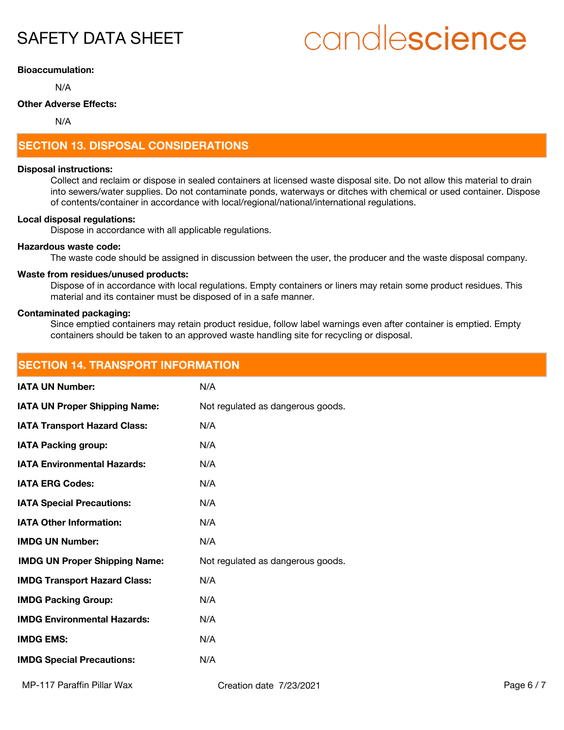# candlescience

#### **Bioaccumulation:**

N/A

### **Other Adverse Effects:**

N/A

# **SECTION 13. DISPOSAL CONSIDERATIONS**

#### **Disposal instructions:**

Collect and reclaim or dispose in sealed containers at licensed waste disposal site. Do not allow this material to drain into sewers/water supplies. Do not contaminate ponds, waterways or ditches with chemical or used container. Dispose of contents/container in accordance with local/regional/national/international regulations.

#### **Local disposal regulations:**

Dispose in accordance with all applicable regulations.

#### **Hazardous waste code:**

The waste code should be assigned in discussion between the user, the producer and the waste disposal company.

#### **Waste from residues/unused products:**

Dispose of in accordance with local regulations. Empty containers or liners may retain some product residues. This material and its container must be disposed of in a safe manner.

#### **Contaminated packaging:**

Since emptied containers may retain product residue, follow label warnings even after container is emptied. Empty containers should be taken to an approved waste handling site for recycling or disposal.

| <b>SECTION 14. TRANSPORT INFORMATION</b> |                                   |            |
|------------------------------------------|-----------------------------------|------------|
| <b>IATA UN Number:</b>                   | N/A                               |            |
| <b>IATA UN Proper Shipping Name:</b>     | Not regulated as dangerous goods. |            |
| <b>IATA Transport Hazard Class:</b>      | N/A                               |            |
| <b>IATA Packing group:</b>               | N/A                               |            |
| <b>IATA Environmental Hazards:</b>       | N/A                               |            |
| <b>IATA ERG Codes:</b>                   | N/A                               |            |
| <b>IATA Special Precautions:</b>         | N/A                               |            |
| <b>IATA Other Information:</b>           | N/A                               |            |
| <b>IMDG UN Number:</b>                   | N/A                               |            |
| <b>IMDG UN Proper Shipping Name:</b>     | Not regulated as dangerous goods. |            |
| <b>IMDG Transport Hazard Class:</b>      | N/A                               |            |
| <b>IMDG Packing Group:</b>               | N/A                               |            |
| <b>IMDG Environmental Hazards:</b>       | N/A                               |            |
| <b>IMDG EMS:</b>                         | N/A                               |            |
| <b>IMDG Special Precautions:</b>         | N/A                               |            |
| MP-117 Paraffin Pillar Wax               | Creation date 7/23/2021           | Page $6/7$ |